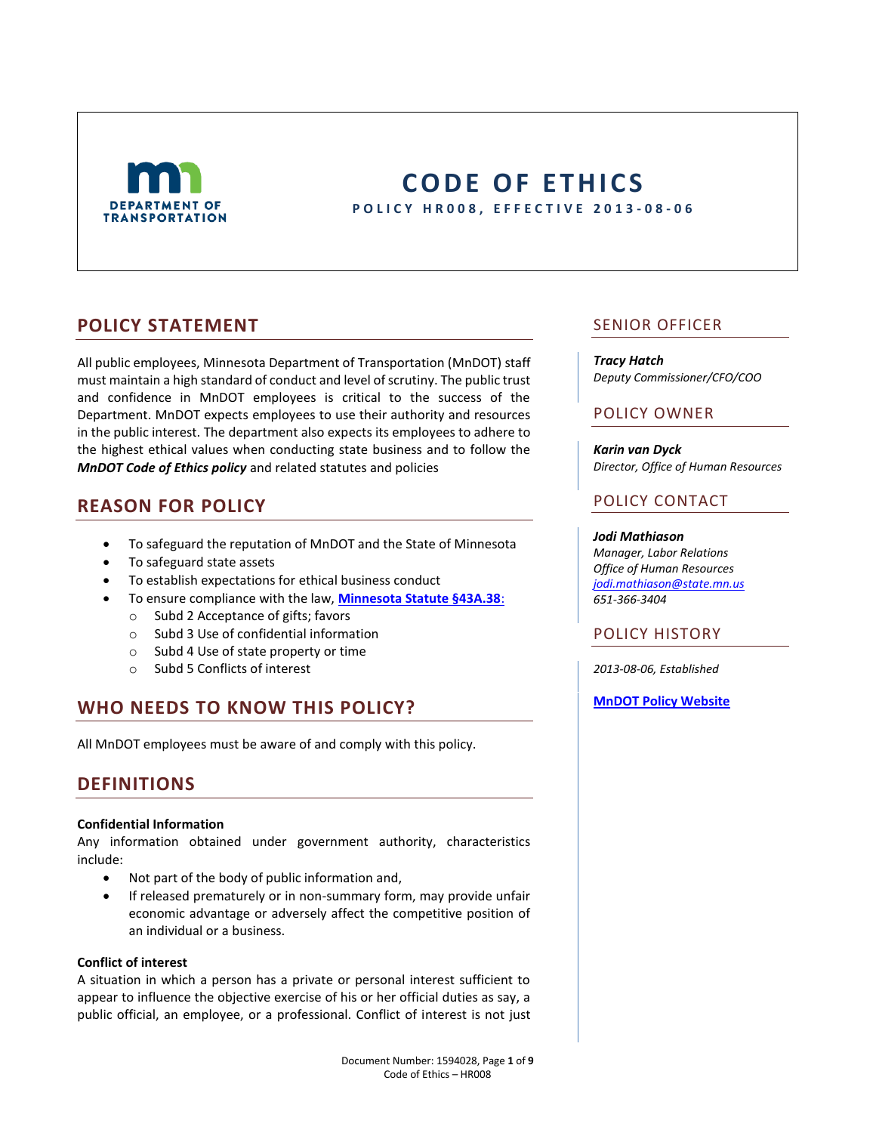

# **CODE OF ETHICS P O L I C Y H R 0 0 8 , E F F E C T I V E 2013 - 0 8 - 0 6**

# **POLICY STATEMENT**

All public employees, Minnesota Department of Transportation (MnDOT) staff must maintain a high standard of conduct and level of scrutiny. The public trust and confidence in MnDOT employees is critical to the success of the Department. MnDOT expects employees to use their authority and resources in the public interest. The department also expects its employees to adhere to the highest ethical values when conducting state business and to follow the *MnDOT Code of Ethics policy* and related statutes and policies

# **REASON FOR POLICY**

- To safeguard the reputation of MnDOT and the State of Minnesota
- To safeguard state assets
- To establish expectations for ethical business conduct
- To ensure compliance with the law, **[Minnesota Statute §43A.38](https://www.revisor.mn.gov/statutes/?id=43a.38)**:
	- o Subd 2 Acceptance of gifts; favors
	- o Subd 3 Use of confidential information
	- o Subd 4 Use of state property or time
	- o Subd 5 Conflicts of interest

# **WHO NEEDS TO KNOW THIS POLICY?**

All MnDOT employees must be aware of and comply with this policy.

# **DEFINITIONS**

### **Confidential Information**

Any information obtained under government authority, characteristics include:

- Not part of the body of public information and,
- **•** If released prematurely or in non-summary form, may provide unfair economic advantage or adversely affect the competitive position of an individual or a business.

### **Conflict of interest**

A situation in which a person has a private or personal interest sufficient to appear to influence the objective exercise of his or her official duties as say, a public official, an employee, or a professional. Conflict of interest is not just

## SENIOR OFFICER

### *Tracy Hatch*

*Deputy Commissioner/CFO/COO*

## POLICY OWNER

*Karin van Dyck Director, Office of Human Resources*

## POLICY CONTACT

### *Jodi Mathiason*

*Manager, Labor Relations Office of Human Resources [jodi.mathiason@state.mn.us](mailto:Jodi.mathiason@state.mn.us) 651-366-3404*

## POLICY HISTORY

*2013-08-06, Established*

**[MnDOT Policy Website](http://www.dot.state.mn.us/policy/index.html)**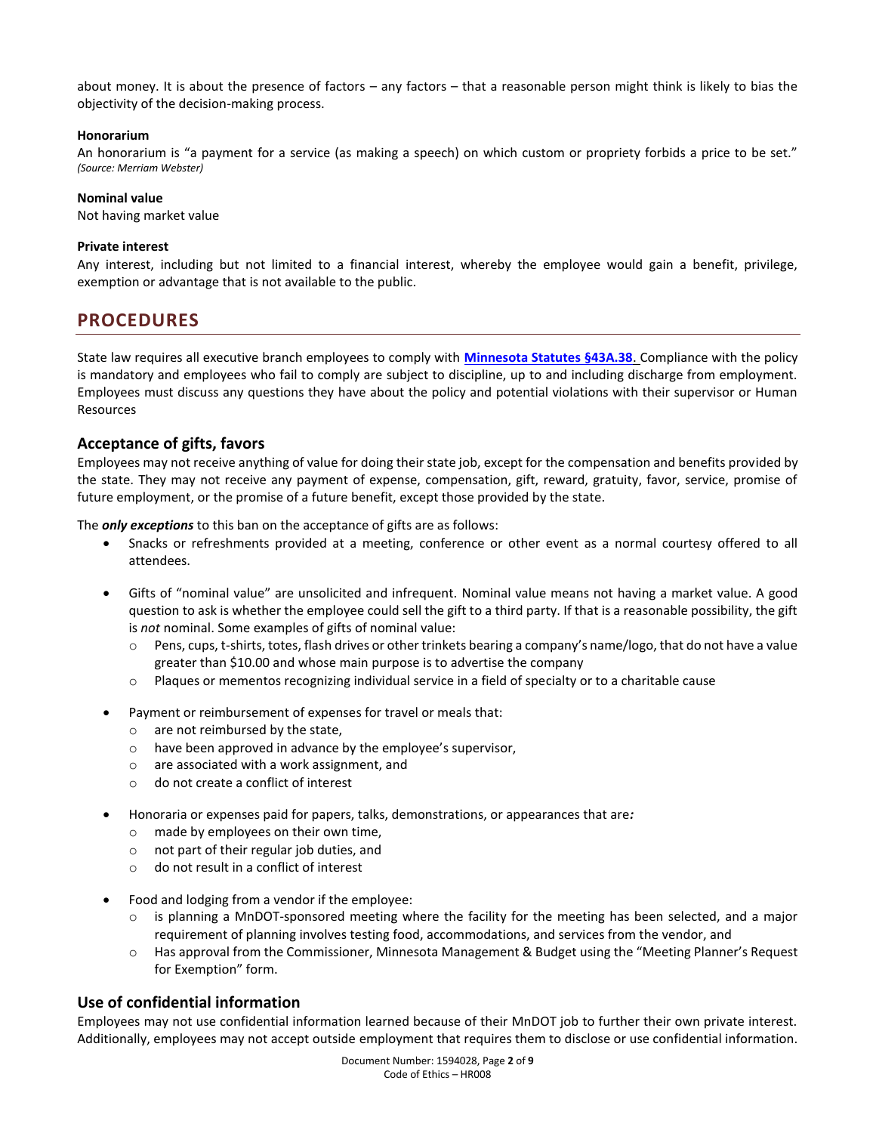about money. It is about the presence of factors – any factors – that a reasonable person might think is likely to bias the objectivity of the decision-making process.

### **Honorarium**

An honorarium is "a payment for a service (as making a speech) on which custom or propriety forbids a price to be set." *(Source: Merriam Webster)*

### **Nominal value**

Not having market value

### **Private interest**

Any interest, including but not limited to a financial interest, whereby the employee would gain a benefit, privilege, exemption or advantage that is not available to the public.

# **PROCEDURES**

State law requires all executive branch employees to comply with **[Minnesota Statutes §43A.38](https://www.revisor.mn.gov/statutes/?id=43a.38)**. Compliance with the policy is mandatory and employees who fail to comply are subject to discipline, up to and including discharge from employment. Employees must discuss any questions they have about the policy and potential violations with their supervisor or Human Resources

### **Acceptance of gifts, favors**

Employees may not receive anything of value for doing their state job, except for the compensation and benefits provided by the state. They may not receive any payment of expense, compensation, gift, reward, gratuity, favor, service, promise of future employment, or the promise of a future benefit, except those provided by the state.

The *only exceptions* to this ban on the acceptance of gifts are as follows:

- Snacks or refreshments provided at a meeting, conference or other event as a normal courtesy offered to all attendees.
- Gifts of "nominal value" are unsolicited and infrequent. Nominal value means not having a market value. A good question to ask is whether the employee could sell the gift to a third party. If that is a reasonable possibility, the gift is *not* nominal. Some examples of gifts of nominal value:
	- o Pens, cups, t-shirts, totes, flash drives or other trinkets bearing a company's name/logo, that do not have a value greater than \$10.00 and whose main purpose is to advertise the company
	- o Plaques or mementos recognizing individual service in a field of specialty or to a charitable cause
- Payment or reimbursement of expenses for travel or meals that:
	- o are not reimbursed by the state,
	- o have been approved in advance by the employee's supervisor,
	- o are associated with a work assignment, and
	- o do not create a conflict of interest
- Honoraria or expenses paid for papers, talks, demonstrations, or appearances that are*:*
	- o made by employees on their own time,
	- o not part of their regular job duties, and
	- o do not result in a conflict of interest
- Food and lodging from a vendor if the employee:
	- $\circ$  is planning a MnDOT-sponsored meeting where the facility for the meeting has been selected, and a major requirement of planning involves testing food, accommodations, and services from the vendor, and
	- o Has approval from the Commissioner, Minnesota Management & Budget using the "Meeting Planner's Request for Exemption" form.

## **Use of confidential information**

Employees may not use confidential information learned because of their MnDOT job to further their own private interest. Additionally, employees may not accept outside employment that requires them to disclose or use confidential information.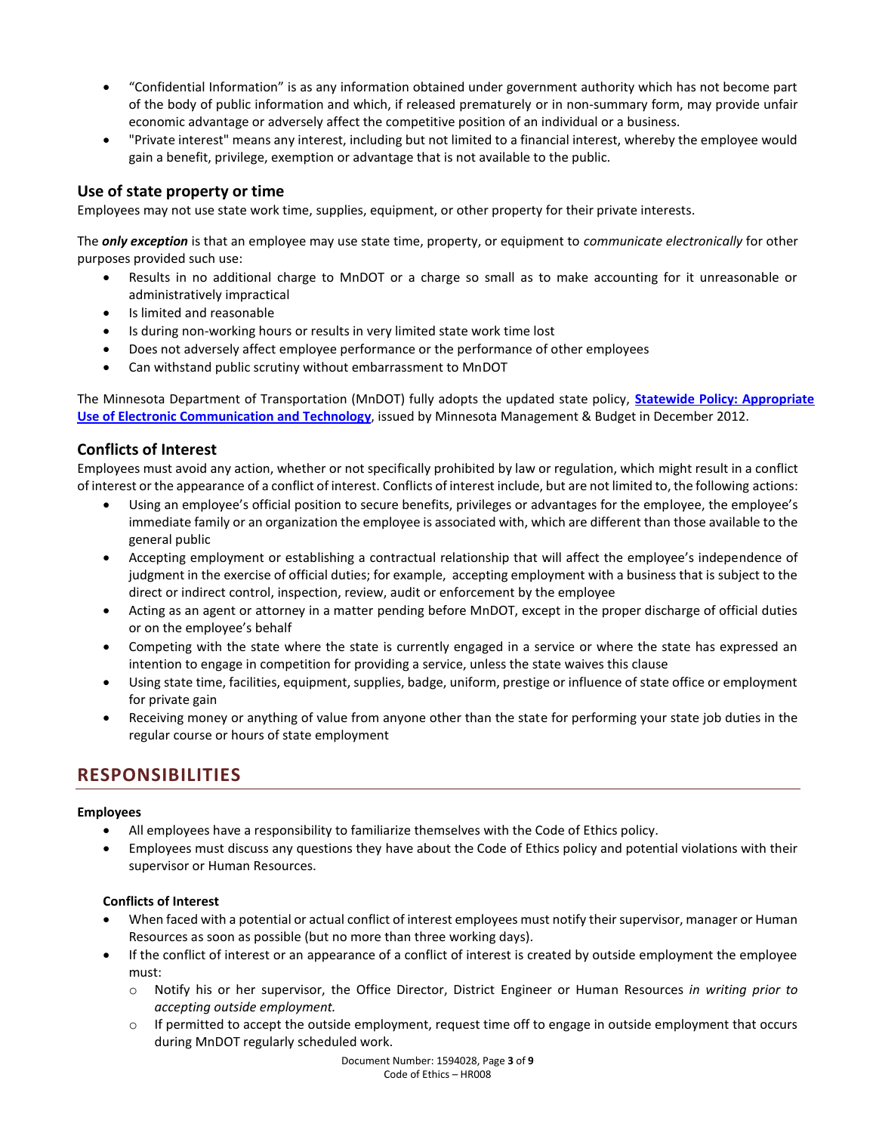- "Confidential Information" is as any information obtained under government authority which has not become part of the body of public information and which, if released prematurely or in non-summary form, may provide unfair economic advantage or adversely affect the competitive position of an individual or a business.
- "Private interest" means any interest, including but not limited to a financial interest, whereby the employee would gain a benefit, privilege, exemption or advantage that is not available to the public.

## **Use of state property or time**

Employees may not use state work time, supplies, equipment, or other property for their private interests.

The *only exception* is that an employee may use state time, property, or equipment to *communicate electronically* for other purposes provided such use:

- Results in no additional charge to MnDOT or a charge so small as to make accounting for it unreasonable or administratively impractical
- Is limited and reasonable
- Is during non-working hours or results in very limited state work time lost
- Does not adversely affect employee performance or the performance of other employees
- Can withstand public scrutiny without embarrassment to MnDOT

The Minnesota Department of Transportation (MnDOT) fully adopts the updated state policy, **[Statewide Policy: Appropriate](https://mn.gov/admin/assets/ElecComm-final-1-11-2012_tcm36-206403.pdf)  [Use of Electronic Communication and Technology](https://mn.gov/admin/assets/ElecComm-final-1-11-2012_tcm36-206403.pdf)**, issued by Minnesota Management & Budget in December 2012.

## **Conflicts of Interest**

Employees must avoid any action, whether or not specifically prohibited by law or regulation, which might result in a conflict of interest or the appearance of a conflict of interest. Conflicts of interest include, but are not limited to, the following actions:

- Using an employee's official position to secure benefits, privileges or advantages for the employee, the employee's immediate family or an organization the employee is associated with, which are different than those available to the general public
- Accepting employment or establishing a contractual relationship that will affect the employee's independence of judgment in the exercise of official duties; for example, accepting employment with a business that is subject to the direct or indirect control, inspection, review, audit or enforcement by the employee
- Acting as an agent or attorney in a matter pending before MnDOT, except in the proper discharge of official duties or on the employee's behalf
- Competing with the state where the state is currently engaged in a service or where the state has expressed an intention to engage in competition for providing a service, unless the state waives this clause
- Using state time, facilities, equipment, supplies, badge, uniform, prestige or influence of state office or employment for private gain
- Receiving money or anything of value from anyone other than the state for performing your state job duties in the regular course or hours of state employment

# **RESPONSIBILITIES**

### **Employees**

- All employees have a responsibility to familiarize themselves with the Code of Ethics policy.
- Employees must discuss any questions they have about the Code of Ethics policy and potential violations with their supervisor or Human Resources.

### **Conflicts of Interest**

- When faced with a potential or actual conflict of interest employees must notify their supervisor, manager or Human Resources as soon as possible (but no more than three working days).
- If the conflict of interest or an appearance of a conflict of interest is created by outside employment the employee must:
	- o Notify his or her supervisor, the Office Director, District Engineer or Human Resources *in writing prior to accepting outside employment.*
	- $\circ$  If permitted to accept the outside employment, request time off to engage in outside employment that occurs during MnDOT regularly scheduled work.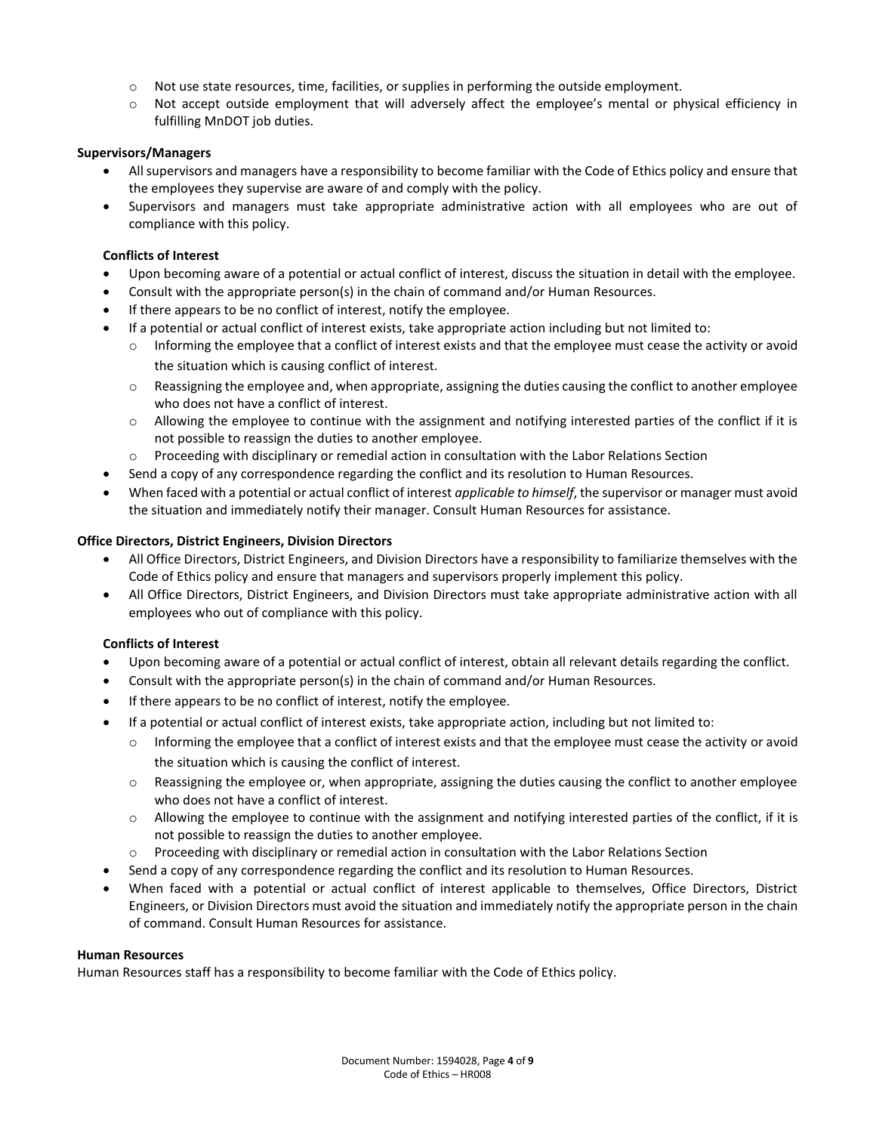- o Not use state resources, time, facilities, or supplies in performing the outside employment.
- o Not accept outside employment that will adversely affect the employee's mental or physical efficiency in fulfilling MnDOT job duties.

### **Supervisors/Managers**

- All supervisors and managers have a responsibility to become familiar with the Code of Ethics policy and ensure that the employees they supervise are aware of and comply with the policy.
- Supervisors and managers must take appropriate administrative action with all employees who are out of compliance with this policy.

### **Conflicts of Interest**

- Upon becoming aware of a potential or actual conflict of interest, discuss the situation in detail with the employee.
- Consult with the appropriate person(s) in the chain of command and/or Human Resources.
- If there appears to be no conflict of interest, notify the employee.
- If a potential or actual conflict of interest exists, take appropriate action including but not limited to:
	- Informing the employee that a conflict of interest exists and that the employee must cease the activity or avoid the situation which is causing conflict of interest.
	- o Reassigning the employee and, when appropriate, assigning the duties causing the conflict to another employee who does not have a conflict of interest.
	- $\circ$  Allowing the employee to continue with the assignment and notifying interested parties of the conflict if it is not possible to reassign the duties to another employee.
	- o Proceeding with disciplinary or remedial action in consultation with the Labor Relations Section
- Send a copy of any correspondence regarding the conflict and its resolution to Human Resources.
- When faced with a potential or actual conflict of interest *applicable to himself*, the supervisor or manager must avoid the situation and immediately notify their manager. Consult Human Resources for assistance.

### **Office Directors, District Engineers, Division Directors**

- All Office Directors, District Engineers, and Division Directors have a responsibility to familiarize themselves with the Code of Ethics policy and ensure that managers and supervisors properly implement this policy.
- All Office Directors, District Engineers, and Division Directors must take appropriate administrative action with all employees who out of compliance with this policy.

### **Conflicts of Interest**

- Upon becoming aware of a potential or actual conflict of interest, obtain all relevant details regarding the conflict.
- Consult with the appropriate person(s) in the chain of command and/or Human Resources.
- If there appears to be no conflict of interest, notify the employee.
- If a potential or actual conflict of interest exists, take appropriate action, including but not limited to:
	- o Informing the employee that a conflict of interest exists and that the employee must cease the activity or avoid the situation which is causing the conflict of interest.
	- o Reassigning the employee or, when appropriate, assigning the duties causing the conflict to another employee who does not have a conflict of interest.
	- o Allowing the employee to continue with the assignment and notifying interested parties of the conflict, if it is not possible to reassign the duties to another employee.
	- $\circ$  Proceeding with disciplinary or remedial action in consultation with the Labor Relations Section
- Send a copy of any correspondence regarding the conflict and its resolution to Human Resources.
- When faced with a potential or actual conflict of interest applicable to themselves, Office Directors, District Engineers, or Division Directors must avoid the situation and immediately notify the appropriate person in the chain of command. Consult Human Resources for assistance.

### **Human Resources**

Human Resources staff has a responsibility to become familiar with the Code of Ethics policy.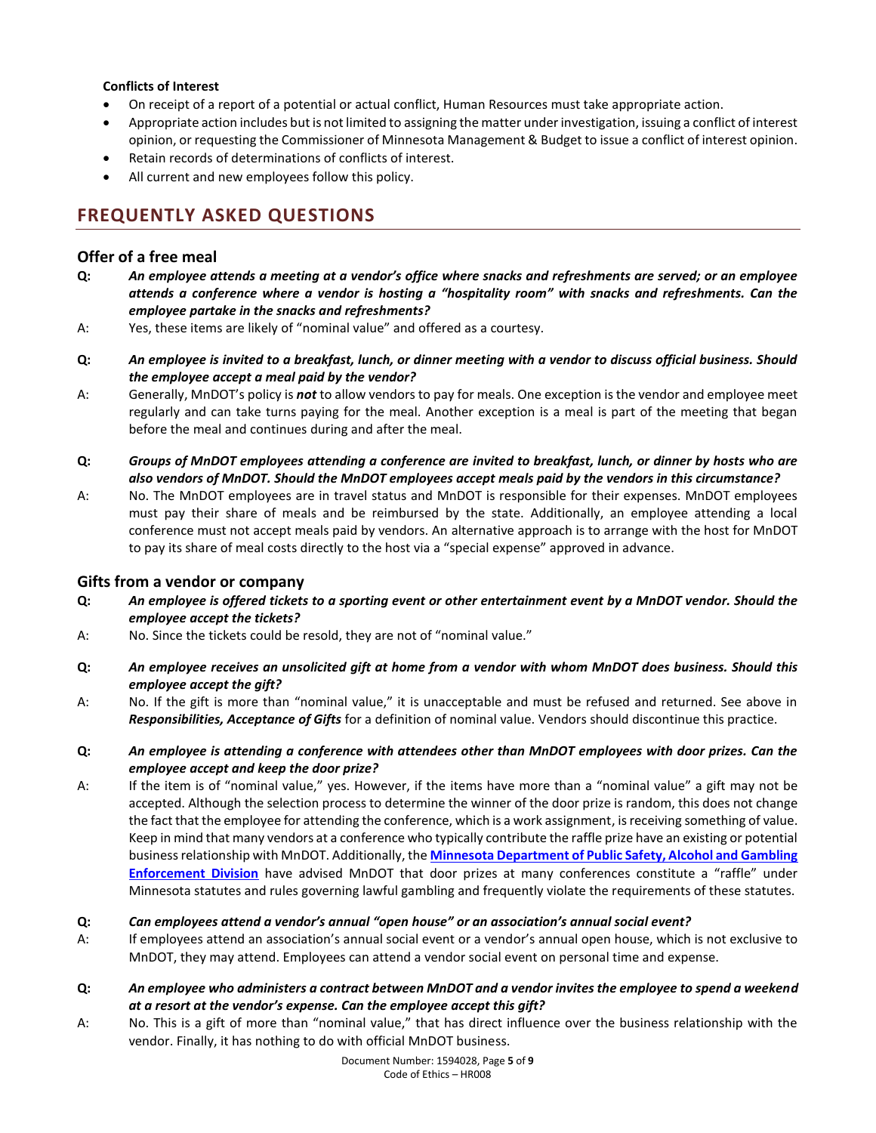## **Conflicts of Interest**

- On receipt of a report of a potential or actual conflict, Human Resources must take appropriate action.
- Appropriate action includes but is not limited to assigning the matter under investigation, issuing a conflict of interest opinion, or requesting the Commissioner of Minnesota Management & Budget to issue a conflict of interest opinion.
- Retain records of determinations of conflicts of interest.
- All current and new employees follow this policy.

# **FREQUENTLY ASKED QUESTIONS**

## **Offer of a free meal**

- **Q:** *An employee attends a meeting at a vendor's office where snacks and refreshments are served; or an employee attends a conference where a vendor is hosting a "hospitality room" with snacks and refreshments. Can the employee partake in the snacks and refreshments?*
- A: Yes, these items are likely of "nominal value" and offered as a courtesy.
- **Q:** *An employee is invited to a breakfast, lunch, or dinner meeting with a vendor to discuss official business. Should the employee accept a meal paid by the vendor?*
- A: Generally, MnDOT's policy is *not* to allow vendors to pay for meals. One exception is the vendor and employee meet regularly and can take turns paying for the meal. Another exception is a meal is part of the meeting that began before the meal and continues during and after the meal.
- **Q:** *Groups of MnDOT employees attending a conference are invited to breakfast, lunch, or dinner by hosts who are also vendors of MnDOT. Should the MnDOT employees accept meals paid by the vendors in this circumstance?*
- A: No. The MnDOT employees are in travel status and MnDOT is responsible for their expenses. MnDOT employees must pay their share of meals and be reimbursed by the state. Additionally, an employee attending a local conference must not accept meals paid by vendors. An alternative approach is to arrange with the host for MnDOT to pay its share of meal costs directly to the host via a "special expense" approved in advance.

## **Gifts from a vendor or company**

- **Q:** *An employee is offered tickets to a sporting event or other entertainment event by a MnDOT vendor. Should the employee accept the tickets?*
- A: No. Since the tickets could be resold, they are not of "nominal value."
- **Q:** *An employee receives an unsolicited gift at home from a vendor with whom MnDOT does business. Should this employee accept the gift?*
- A: No. If the gift is more than "nominal value," it is unacceptable and must be refused and returned. See above in *Responsibilities, Acceptance of Gifts* for a definition of nominal value. Vendors should discontinue this practice.
- **Q:** *An employee is attending a conference with attendees other than MnDOT employees with door prizes. Can the employee accept and keep the door prize?*
- A: If the item is of "nominal value," yes. However, if the items have more than a "nominal value" a gift may not be accepted. Although the selection process to determine the winner of the door prize is random, this does not change the fact that the employee for attending the conference, which is a work assignment, is receiving something of value. Keep in mind that many vendors at a conference who typically contribute the raffle prize have an existing or potential business relationship with MnDOT. Additionally, the **[Minnesota Department of Public Safety, Alcohol and Gambling](https://dps.mn.gov/divisions/age/Pages/default.aspx)  [Enforcement Division](https://dps.mn.gov/divisions/age/Pages/default.aspx)** have advised MnDOT that door prizes at many conferences constitute a "raffle" under Minnesota statutes and rules governing lawful gambling and frequently violate the requirements of these statutes.

### **Q:** *Can employees attend a vendor's annual "open house" or an association's annual social event?*

- A: If employees attend an association's annual social event or a vendor's annual open house, which is not exclusive to MnDOT, they may attend. Employees can attend a vendor social event on personal time and expense.
- **Q:** *An employee who administers a contract between MnDOT and a vendor invites the employee to spend a weekend at a resort at the vendor's expense. Can the employee accept this gift?*
- A: No. This is a gift of more than "nominal value," that has direct influence over the business relationship with the vendor. Finally, it has nothing to do with official MnDOT business.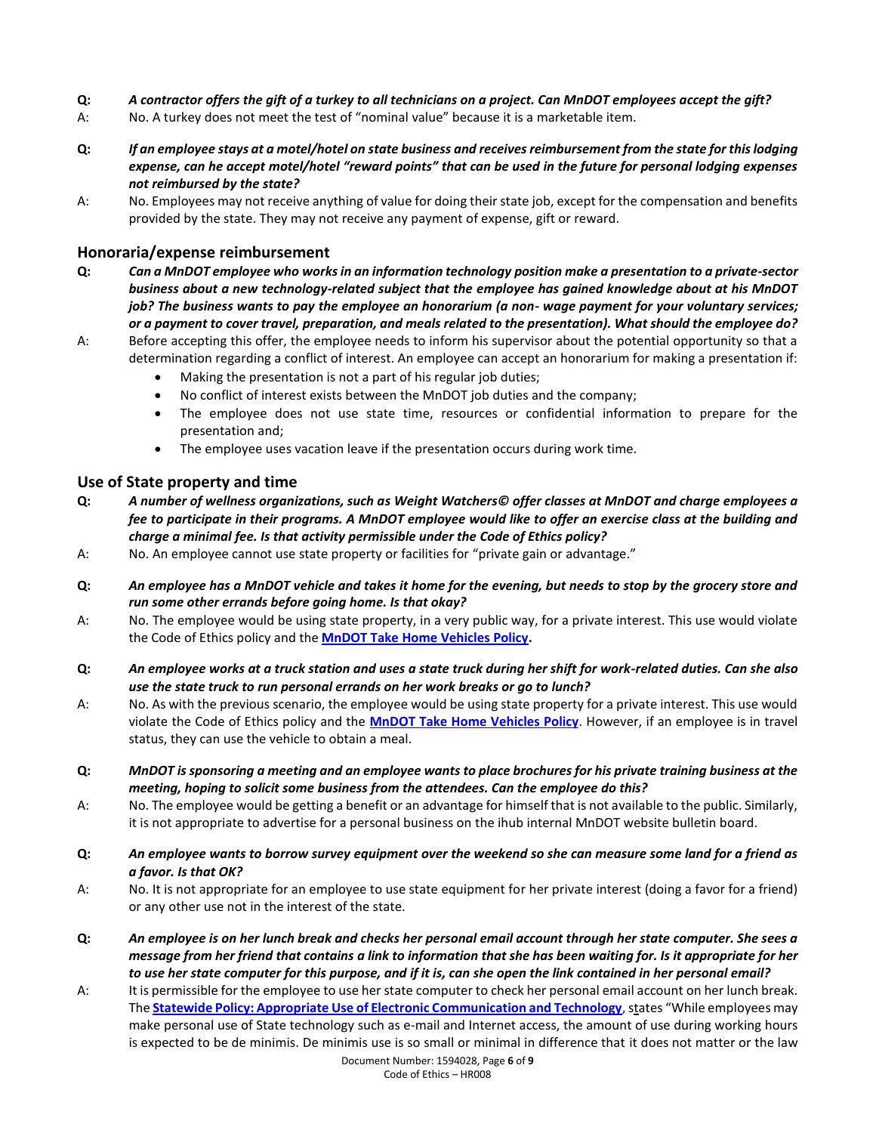- **Q:** *A contractor offers the gift of a turkey to all technicians on a project. Can MnDOT employees accept the gift?*
- A: No. A turkey does not meet the test of "nominal value" because it is a marketable item.
- **Q:** *If an employee stays at a motel/hotel on state business and receives reimbursement from the state for this lodging expense, can he accept motel/hotel "reward points" that can be used in the future for personal lodging expenses not reimbursed by the state?*
- A: No. Employees may not receive anything of value for doing their state job, except for the compensation and benefits provided by the state. They may not receive any payment of expense, gift or reward.

## **Honoraria/expense reimbursement**

- **Q:** *Can a MnDOT employee who works in an information technology position make a presentation to a private-sector business about a new technology-related subject that the employee has gained knowledge about at his MnDOT job? The business wants to pay the employee an honorarium (a non- wage payment for your voluntary services; or a payment to cover travel, preparation, and meals related to the presentation). What should the employee do?*
- A: Before accepting this offer, the employee needs to inform his supervisor about the potential opportunity so that a determination regarding a conflict of interest. An employee can accept an honorarium for making a presentation if:
	- Making the presentation is not a part of his regular job duties;
	- No conflict of interest exists between the MnDOT job duties and the company;
	- The employee does not use state time, resources or confidential information to prepare for the presentation and;
	- The employee uses vacation leave if the presentation occurs during work time.

## **Use of State property and time**

- **Q:** *A number of wellness organizations, such as Weight Watchers© offer classes at MnDOT and charge employees a fee to participate in their programs. A MnDOT employee would like to offer an exercise class at the building and charge a minimal fee. Is that activity permissible under the Code of Ethics policy?*
- A: No. An employee cannot use state property or facilities for "private gain or advantage."
- **Q:** *An employee has a MnDOT vehicle and takes it home for the evening, but needs to stop by the grocery store and run some other errands before going home. Is that okay?*
- A: No. The employee would be using state property, in a very public way, for a private interest. This use would violate the Code of Ethics policy and the **[MnDOT Take Home Vehicles Policy.](http://oit-jboss-prod.dot.state.mn.us/edms/download?docId=906243)**
- **Q:** *An employee works at a truck station and uses a state truck during her shift for work-related duties. Can she also use the state truck to run personal errands on her work breaks or go to lunch?*
- A: No. As with the previous scenario, the employee would be using state property for a private interest. This use would violate the Code of Ethics policy and the **[MnDOT Take Home Vehicles Policy](http://oit-jboss-prod.dot.state.mn.us/edms/download?docId=906243)**. However, if an employee is in travel status, they can use the vehicle to obtain a meal.
- **Q:** *MnDOT is sponsoring a meeting and an employee wants to place brochures for his private training business at the meeting, hoping to solicit some business from the attendees. Can the employee do this?*
- A: No. The employee would be getting a benefit or an advantage for himself that is not available to the public. Similarly, it is not appropriate to advertise for a personal business on the ihub internal MnDOT website bulletin board.
- **Q:** *An employee wants to borrow survey equipment over the weekend so she can measure some land for a friend as a favor. Is that OK?*
- A: No. It is not appropriate for an employee to use state equipment for her private interest (doing a favor for a friend) or any other use not in the interest of the state.
- **Q:** *An employee is on her lunch break and checks her personal email account through her state computer. She sees a message from her friend that contains a link to information that she has been waiting for. Is it appropriate for her to use her state computer for this purpose, and if it is, can she open the link contained in her personal email?*
- A: It is permissible for the employee to use her state computer to check her personal email account on her lunch break. The **[Statewide Policy: Appropriate Use of Electronic Communication and Technology](https://mn.gov/admin/assets/ElecComm-final-1-11-2012_tcm36-206403.pdf)**, states "While employees may make personal use of State technology such as e-mail and Internet access, the amount of use during working hours is expected to be de minimis. De minimis use is so small or minimal in difference that it does not matter or the law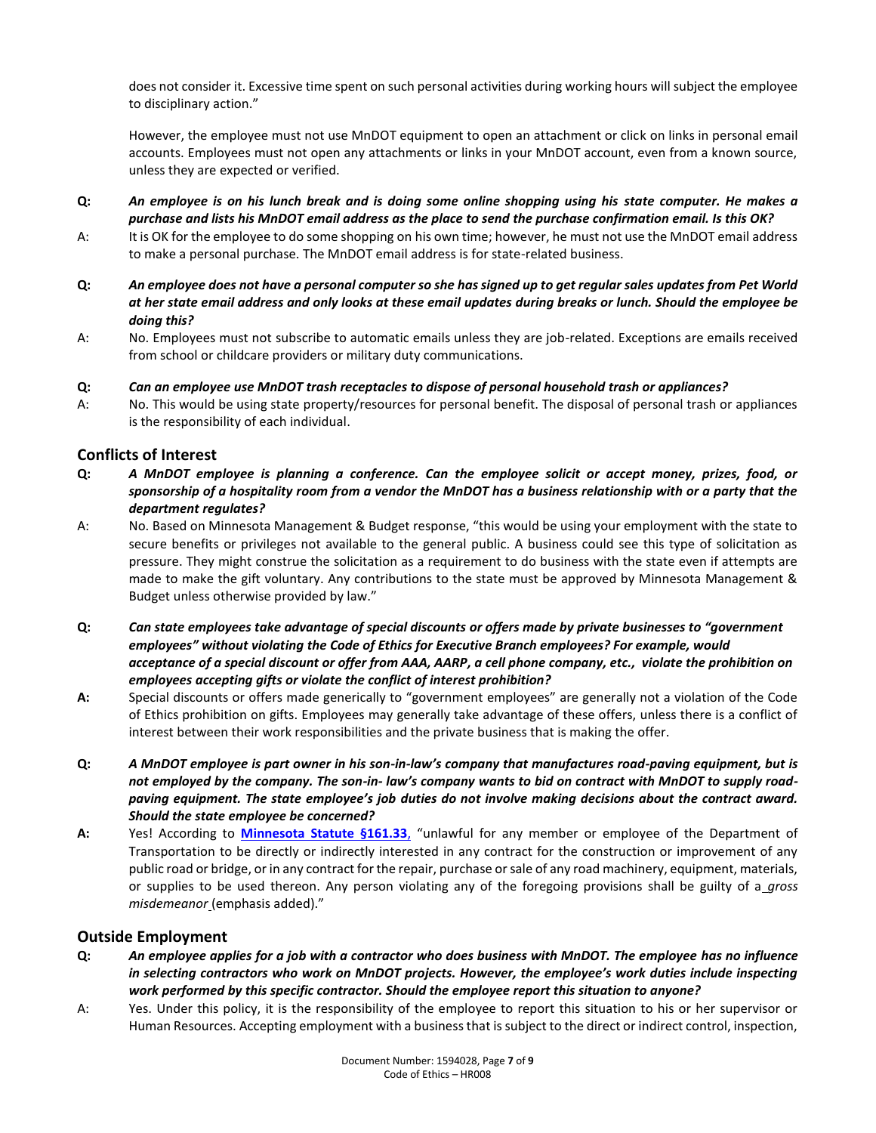does not consider it. Excessive time spent on such personal activities during working hours will subject the employee to disciplinary action."

However, the employee must not use MnDOT equipment to open an attachment or click on links in personal email accounts. Employees must not open any attachments or links in your MnDOT account, even from a known source, unless they are expected or verified.

- **Q:** *An employee is on his lunch break and is doing some online shopping using his state computer. He makes a purchase and lists his MnDOT email address as the place to send the purchase confirmation email. Is this OK?*
- A: It is OK for the employee to do some shopping on his own time; however, he must not use the MnDOT email address to make a personal purchase. The MnDOT email address is for state-related business.
- **Q:** *An employee does not have a personal computer so she has signed up to get regular sales updates from Pet World at her state email address and only looks at these email updates during breaks or lunch. Should the employee be doing this?*
- A: No. Employees must not subscribe to automatic emails unless they are job-related. Exceptions are emails received from school or childcare providers or military duty communications.
- **Q:** *Can an employee use MnDOT trash receptacles to dispose of personal household trash or appliances?*
- A: No. This would be using state property/resources for personal benefit. The disposal of personal trash or appliances is the responsibility of each individual.

### **Conflicts of Interest**

- **Q:** *A MnDOT employee is planning a conference. Can the employee solicit or accept money, prizes, food, or sponsorship of a hospitality room from a vendor the MnDOT has a business relationship with or a party that the department regulates?*
- A: No. Based on Minnesota Management & Budget response, "this would be using your employment with the state to secure benefits or privileges not available to the general public. A business could see this type of solicitation as pressure. They might construe the solicitation as a requirement to do business with the state even if attempts are made to make the gift voluntary. Any contributions to the state must be approved by Minnesota Management & Budget unless otherwise provided by law."
- **Q:** *Can state employees take advantage of special discounts or offers made by private businesses to "government employees" without violating the Code of Ethics for Executive Branch employees? For example, would acceptance of a special discount or offer from AAA, AARP, a cell phone company, etc., violate the prohibition on employees accepting gifts or violate the conflict of interest prohibition?*
- **A:** Special discounts or offers made generically to "government employees" are generally not a violation of the Code of Ethics prohibition on gifts. Employees may generally take advantage of these offers, unless there is a conflict of interest between their work responsibilities and the private business that is making the offer.
- **Q:** *A MnDOT employee is part owner in his son-in-law's company that manufactures road-paving equipment, but is not employed by the company. The son-in- law's company wants to bid on contract with MnDOT to supply roadpaving equipment. The state employee's job duties do not involve making decisions about the contract award. Should the state employee be concerned?*
- **A:** Yes! According to **[Minnesota Statute §161.33](https://www.revisor.mn.gov/statutes/?id=161.33)**, "unlawful for any member or employee of the Department of Transportation to be directly or indirectly interested in any contract for the construction or improvement of any public road or bridge, or in any contract for the repair, purchase or sale of any road machinery, equipment, materials, or supplies to be used thereon. Any person violating any of the foregoing provisions shall be guilty of a *gross misdemeanor* (emphasis added)."

## **Outside Employment**

- **Q:** *An employee applies for a job with a contractor who does business with MnDOT. The employee has no influence in selecting contractors who work on MnDOT projects. However, the employee's work duties include inspecting work performed by this specific contractor. Should the employee report this situation to anyone?*
- A: Yes. Under this policy, it is the responsibility of the employee to report this situation to his or her supervisor or Human Resources. Accepting employment with a business that is subject to the direct or indirect control, inspection,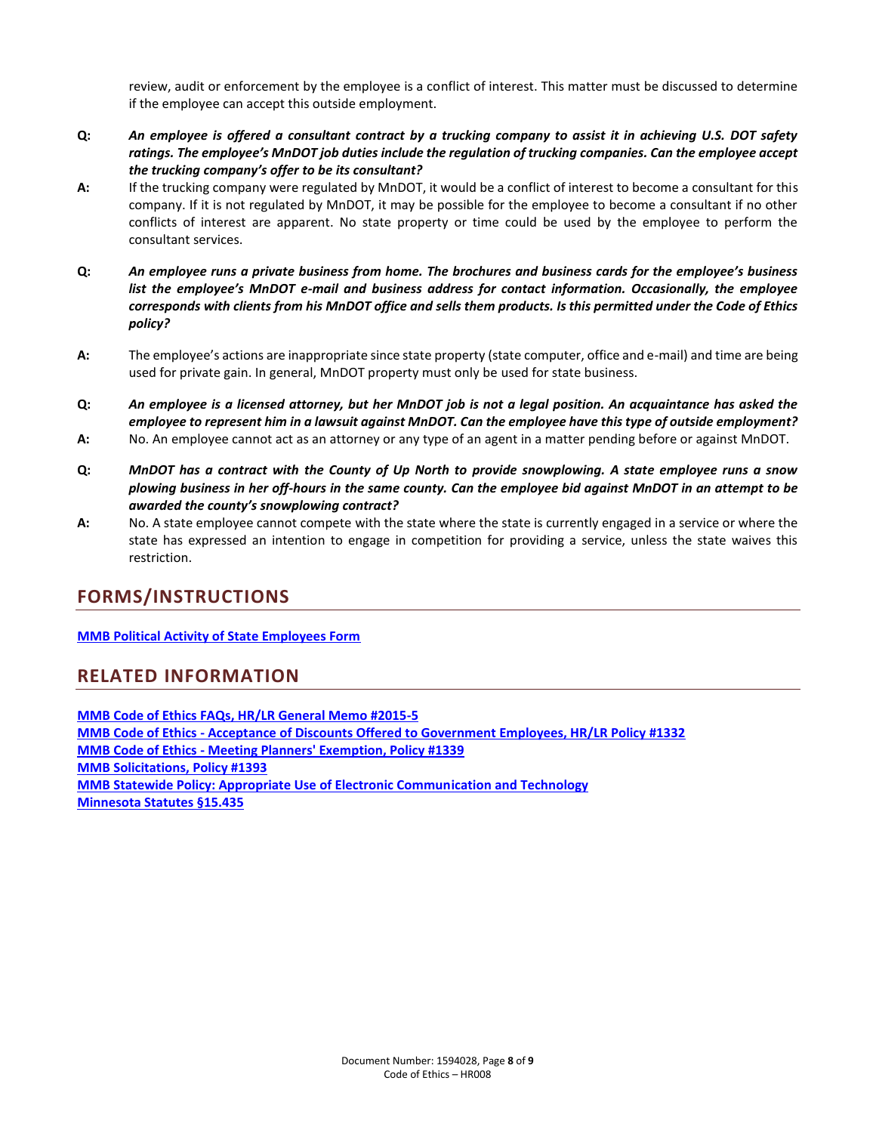review, audit or enforcement by the employee is a conflict of interest. This matter must be discussed to determine if the employee can accept this outside employment.

- **Q:** *An employee is offered a consultant contract by a trucking company to assist it in achieving U.S. DOT safety ratings. The employee's MnDOT job duties include the regulation of trucking companies. Can the employee accept the trucking company's offer to be its consultant?*
- **A:** If the trucking company were regulated by MnDOT, it would be a conflict of interest to become a consultant for this company. If it is not regulated by MnDOT, it may be possible for the employee to become a consultant if no other conflicts of interest are apparent. No state property or time could be used by the employee to perform the consultant services.
- **Q:** *An employee runs a private business from home. The brochures and business cards for the employee's business list the employee's MnDOT e-mail and business address for contact information. Occasionally, the employee corresponds with clients from his MnDOT office and sells them products. Is this permitted under the Code of Ethics policy?*
- **A:** The employee's actions are inappropriate since state property (state computer, office and e-mail) and time are being used for private gain. In general, MnDOT property must only be used for state business.
- **Q:** *An employee is a licensed attorney, but her MnDOT job is not a legal position. An acquaintance has asked the employee to represent him in a lawsuit against MnDOT. Can the employee have this type of outside employment?*
- **A:** No. An employee cannot act as an attorney or any type of an agent in a matter pending before or against MnDOT.
- **Q:** *MnDOT has a contract with the County of Up North to provide snowplowing. A state employee runs a snow plowing business in her off-hours in the same county. Can the employee bid against MnDOT in an attempt to be awarded the county's snowplowing contract?*
- **A:** No. A state employee cannot compete with the state where the state is currently engaged in a service or where the state has expressed an intention to engage in competition for providing a service, unless the state waives this restriction.

# **FORMS/INSTRUCTIONS**

**[MMB Political Activity of State Employees Form](http://beta.mmb.state.mn.us/doc/hr/policy/pol-activity.pdf)**

# **RELATED INFORMATION**

**[MMB Code of Ethics FAQs, HR/LR General Memo #2015-5](https://mn.gov/mmb/assets/2015-5---Code-of-Ethics-FAQ_tcm1059-125236.pdf) MMB Code of Ethics - [Acceptance of Discounts Offered to Government Employees, HR/LR Policy #1332](https://mn.gov/mmb/assets/1332-code-ofethics_tcm1059-233713.pdf) MMB Code of Ethics - [Meeting Planners' Exemption, Policy #1339](https://mn.gov/mmb/assets/1339-codeofethicsmeetingplanner-exemption_tcm1059-233712.pdf) [MMB Solicitations, Policy #1393](https://mn.gov/mmb/assets/1393---Solicitations_tcm1059-124703.pdf) [MMB Statewide Policy: Appropriate Use of Electronic Communication and Technology](https://mn.gov/admin/assets/ElecComm-final-1-11-2012_tcm36-206403.pdf) [Minnesota Statutes §15.435](https://www.google.com/url?sa=t&rct=j&q=&esrc=s&frm=1&source=web&cd=1&cad=rja&uact=8&ved=0CCIQFjAA&url=https%3A%2F%2Fwww.revisor.mn.gov%2Fstatutes%2F%3Fid%3D15.435&ei=4seCVZzCBsbZsAXPhYNY&usg=AFQjCNG_wMZ9o1uNOVRDrlL_3y9VYA9Zaw&bvm=bv.96041959,d.b2w)**